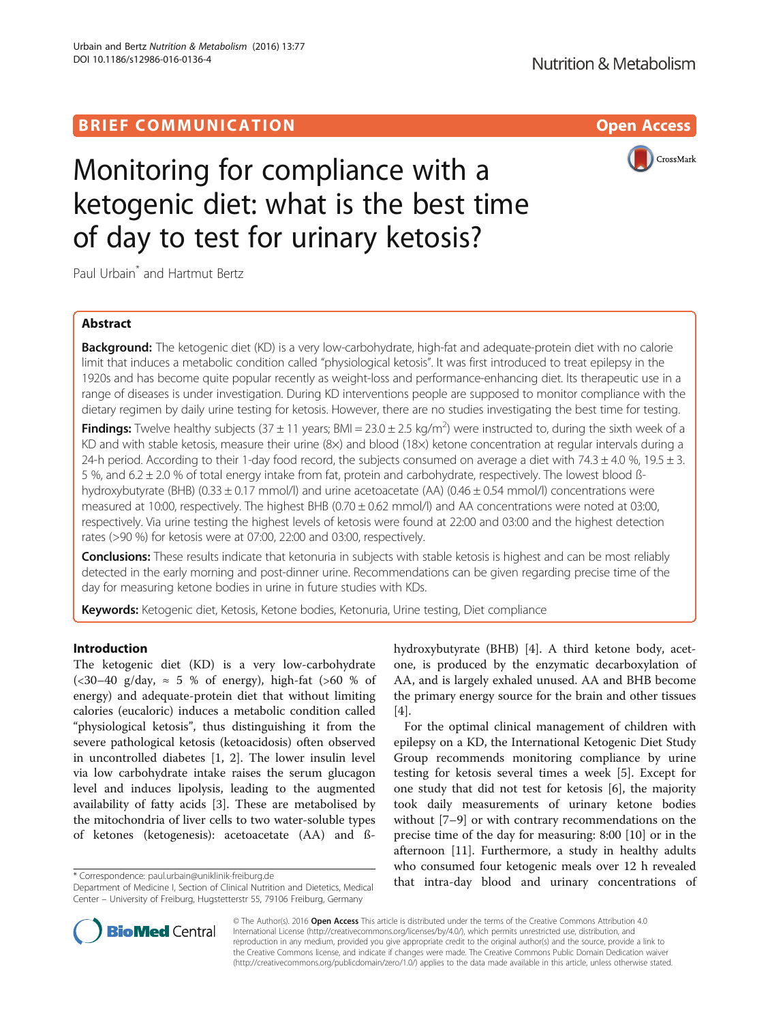

# Monitoring for compliance with a ketogenic diet: what is the best time of day to test for urinary ketosis?

Paul Urbain<sup>\*</sup> and Hartmut Bertz

# Abstract

Background: The ketogenic diet (KD) is a very low-carbohydrate, high-fat and adequate-protein diet with no calorie limit that induces a metabolic condition called "physiological ketosis". It was first introduced to treat epilepsy in the 1920s and has become quite popular recently as weight-loss and performance-enhancing diet. Its therapeutic use in a range of diseases is under investigation. During KD interventions people are supposed to monitor compliance with the dietary regimen by daily urine testing for ketosis. However, there are no studies investigating the best time for testing.

Findings: Twelve healthy subjects (37 ± 11 years; BMI = 23.0 ± 2.5 kg/m<sup>2</sup>) were instructed to, during the sixth week of a KD and with stable ketosis, measure their urine (8×) and blood (18×) ketone concentration at regular intervals during a 24-h period. According to their 1-day food record, the subjects consumed on average a diet with  $74.3 \pm 4.0$  %, 19.5  $\pm$  3. 5 %, and 6.2 ± 2.0 % of total energy intake from fat, protein and carbohydrate, respectively. The lowest blood ßhydroxybutyrate (BHB) (0.33  $\pm$  0.17 mmol/l) and urine acetoacetate (AA) (0.46  $\pm$  0.54 mmol/l) concentrations were measured at 10:00, respectively. The highest BHB (0.70 ± 0.62 mmol/l) and AA concentrations were noted at 03:00, respectively. Via urine testing the highest levels of ketosis were found at 22:00 and 03:00 and the highest detection rates (>90 %) for ketosis were at 07:00, 22:00 and 03:00, respectively.

Conclusions: These results indicate that ketonuria in subjects with stable ketosis is highest and can be most reliably detected in the early morning and post-dinner urine. Recommendations can be given regarding precise time of the day for measuring ketone bodies in urine in future studies with KDs.

Keywords: Ketogenic diet, Ketosis, Ketone bodies, Ketonuria, Urine testing, Diet compliance

# Introduction

The ketogenic diet (KD) is a very low-carbohydrate (<30–40 g/day,  $\approx$  5 % of energy), high-fat (>60 % of energy) and adequate-protein diet that without limiting calories (eucaloric) induces a metabolic condition called "physiological ketosis", thus distinguishing it from the severe pathological ketosis (ketoacidosis) often observed in uncontrolled diabetes [\[1](#page-5-0), [2\]](#page-5-0). The lower insulin level via low carbohydrate intake raises the serum glucagon level and induces lipolysis, leading to the augmented availability of fatty acids [\[3](#page-5-0)]. These are metabolised by the mitochondria of liver cells to two water-soluble types of ketones (ketogenesis): acetoacetate (AA) and ß-

hydroxybutyrate (BHB) [\[4](#page-5-0)]. A third ketone body, acetone, is produced by the enzymatic decarboxylation of AA, and is largely exhaled unused. AA and BHB become the primary energy source for the brain and other tissues [[4\]](#page-5-0).

For the optimal clinical management of children with epilepsy on a KD, the International Ketogenic Diet Study Group recommends monitoring compliance by urine testing for ketosis several times a week [\[5](#page-5-0)]. Except for one study that did not test for ketosis [\[6](#page-5-0)], the majority took daily measurements of urinary ketone bodies without [[7](#page-5-0)–[9](#page-5-0)] or with contrary recommendations on the precise time of the day for measuring: 8:00 [[10\]](#page-5-0) or in the afternoon [\[11](#page-5-0)]. Furthermore, a study in healthy adults who consumed four ketogenic meals over 12 h revealed \* Correspondence: [paul.urbain@uniklinik-freiburg.de](mailto:paul.urbain@uniklinik-freiburg.de)<br>Department of Modicine L Section of Clinical Nutrition and Distation Modical that intra-day blood and urinary concentrations of



© The Author(s). 2016 Open Access This article is distributed under the terms of the Creative Commons Attribution 4.0 International License [\(http://creativecommons.org/licenses/by/4.0/](http://creativecommons.org/licenses/by/4.0/)), which permits unrestricted use, distribution, and reproduction in any medium, provided you give appropriate credit to the original author(s) and the source, provide a link to the Creative Commons license, and indicate if changes were made. The Creative Commons Public Domain Dedication waiver [\(http://creativecommons.org/publicdomain/zero/1.0/](http://creativecommons.org/publicdomain/zero/1.0/)) applies to the data made available in this article, unless otherwise stated.

Department of Medicine I, Section of Clinical Nutrition and Dietetics, Medical Center – University of Freiburg, Hugstetterstr 55, 79106 Freiburg, Germany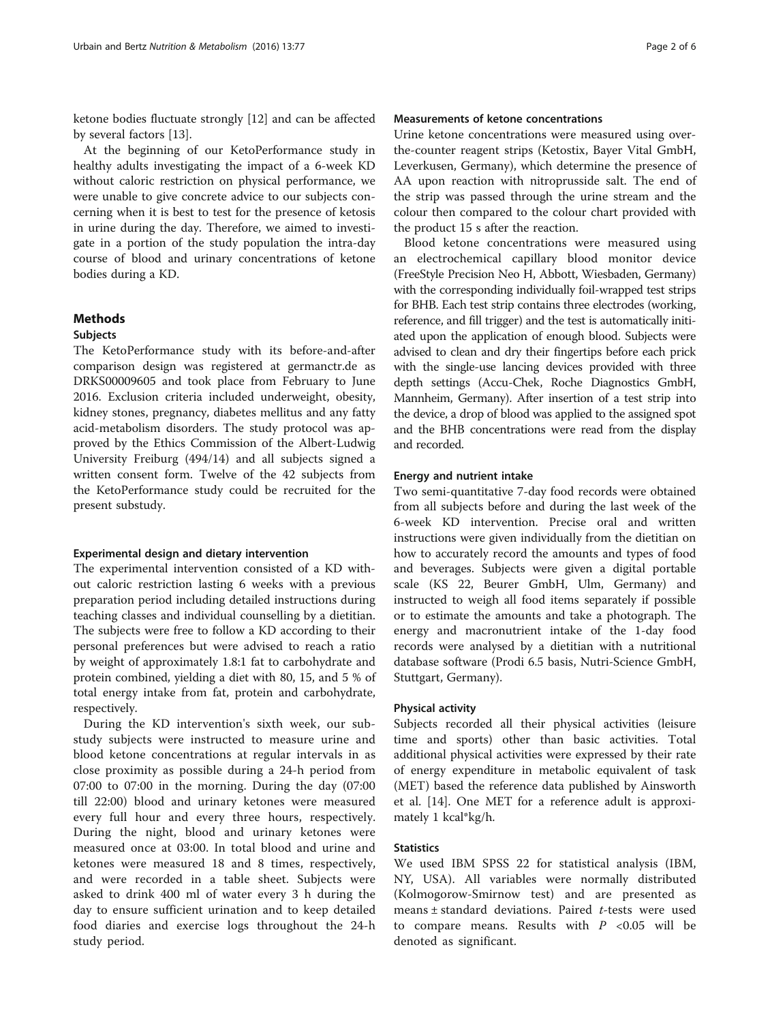ketone bodies fluctuate strongly [\[12](#page-5-0)] and can be affected by several factors [\[13](#page-5-0)].

At the beginning of our KetoPerformance study in healthy adults investigating the impact of a 6-week KD without caloric restriction on physical performance, we were unable to give concrete advice to our subjects concerning when it is best to test for the presence of ketosis in urine during the day. Therefore, we aimed to investigate in a portion of the study population the intra-day course of blood and urinary concentrations of ketone bodies during a KD.

# Methods

## Subjects

The KetoPerformance study with its before-and-after comparison design was registered at germanctr.de as DRKS00009605 and took place from February to June 2016. Exclusion criteria included underweight, obesity, kidney stones, pregnancy, diabetes mellitus and any fatty acid-metabolism disorders. The study protocol was approved by the Ethics Commission of the Albert-Ludwig University Freiburg (494/14) and all subjects signed a written consent form. Twelve of the 42 subjects from the KetoPerformance study could be recruited for the present substudy.

### Experimental design and dietary intervention

The experimental intervention consisted of a KD without caloric restriction lasting 6 weeks with a previous preparation period including detailed instructions during teaching classes and individual counselling by a dietitian. The subjects were free to follow a KD according to their personal preferences but were advised to reach a ratio by weight of approximately 1.8:1 fat to carbohydrate and protein combined, yielding a diet with 80, 15, and 5 % of total energy intake from fat, protein and carbohydrate, respectively.

During the KD intervention's sixth week, our substudy subjects were instructed to measure urine and blood ketone concentrations at regular intervals in as close proximity as possible during a 24-h period from 07:00 to 07:00 in the morning. During the day (07:00 till 22:00) blood and urinary ketones were measured every full hour and every three hours, respectively. During the night, blood and urinary ketones were measured once at 03:00. In total blood and urine and ketones were measured 18 and 8 times, respectively, and were recorded in a table sheet. Subjects were asked to drink 400 ml of water every 3 h during the day to ensure sufficient urination and to keep detailed food diaries and exercise logs throughout the 24-h study period.

## Measurements of ketone concentrations

Urine ketone concentrations were measured using overthe-counter reagent strips (Ketostix, Bayer Vital GmbH, Leverkusen, Germany), which determine the presence of AA upon reaction with nitroprusside salt. The end of the strip was passed through the urine stream and the colour then compared to the colour chart provided with the product 15 s after the reaction.

Blood ketone concentrations were measured using an electrochemical capillary blood monitor device (FreeStyle Precision Neo H, Abbott, Wiesbaden, Germany) with the corresponding individually foil-wrapped test strips for BHB. Each test strip contains three electrodes (working, reference, and fill trigger) and the test is automatically initiated upon the application of enough blood. Subjects were advised to clean and dry their fingertips before each prick with the single-use lancing devices provided with three depth settings (Accu-Chek, Roche Diagnostics GmbH, Mannheim, Germany). After insertion of a test strip into the device, a drop of blood was applied to the assigned spot and the BHB concentrations were read from the display and recorded.

#### Energy and nutrient intake

Two semi-quantitative 7-day food records were obtained from all subjects before and during the last week of the 6-week KD intervention. Precise oral and written instructions were given individually from the dietitian on how to accurately record the amounts and types of food and beverages. Subjects were given a digital portable scale (KS 22, Beurer GmbH, Ulm, Germany) and instructed to weigh all food items separately if possible or to estimate the amounts and take a photograph. The energy and macronutrient intake of the 1-day food records were analysed by a dietitian with a nutritional database software (Prodi 6.5 basis, Nutri-Science GmbH, Stuttgart, Germany).

## Physical activity

Subjects recorded all their physical activities (leisure time and sports) other than basic activities. Total additional physical activities were expressed by their rate of energy expenditure in metabolic equivalent of task (MET) based the reference data published by Ainsworth et al. [[14\]](#page-5-0). One MET for a reference adult is approximately 1 kcal\*kg/h.

## **Statistics**

We used IBM SPSS 22 for statistical analysis (IBM, NY, USA). All variables were normally distributed (Kolmogorow-Smirnow test) and are presented as means ± standard deviations. Paired t-tests were used to compare means. Results with  $P < 0.05$  will be denoted as significant.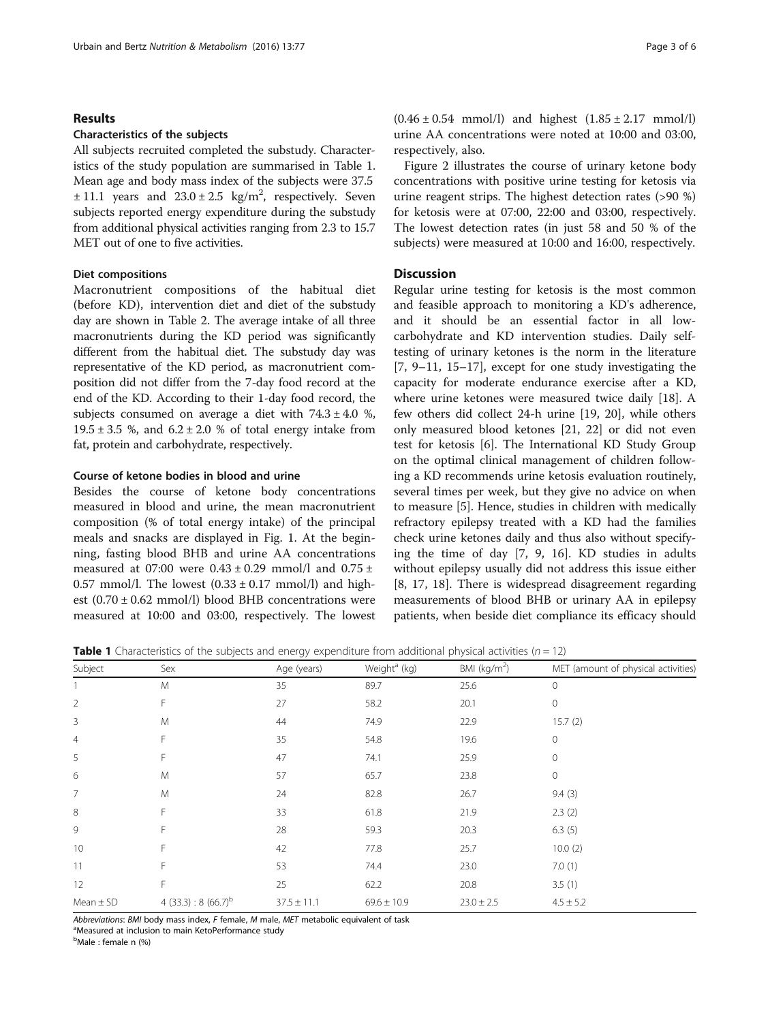## Results

### Characteristics of the subjects

All subjects recruited completed the substudy. Characteristics of the study population are summarised in Table 1. Mean age and body mass index of the subjects were 37.5  $\pm$  11.1 years and  $23.0 \pm 2.5$  kg/m<sup>2</sup>, respectively. Seven subjects reported energy expenditure during the substudy from additional physical activities ranging from 2.3 to 15.7 MET out of one to five activities.

## Diet compositions

Macronutrient compositions of the habitual diet (before KD), intervention diet and diet of the substudy day are shown in Table [2](#page-3-0). The average intake of all three macronutrients during the KD period was significantly different from the habitual diet. The substudy day was representative of the KD period, as macronutrient composition did not differ from the 7-day food record at the end of the KD. According to their 1-day food record, the subjects consumed on average a diet with  $74.3 \pm 4.0$  %,  $19.5 \pm 3.5$  %, and  $6.2 \pm 2.0$  % of total energy intake from fat, protein and carbohydrate, respectively.

## Course of ketone bodies in blood and urine

Besides the course of ketone body concentrations measured in blood and urine, the mean macronutrient composition (% of total energy intake) of the principal meals and snacks are displayed in Fig. [1.](#page-3-0) At the beginning, fasting blood BHB and urine AA concentrations measured at 07:00 were  $0.43 \pm 0.29$  mmol/l and  $0.75 \pm$ 0.57 mmol/l. The lowest  $(0.33 \pm 0.17 \text{ mmol/l})$  and highest  $(0.70 \pm 0.62 \text{ mmol/l})$  blood BHB concentrations were measured at 10:00 and 03:00, respectively. The lowest

 $(0.46 \pm 0.54 \text{ mmol/l})$  and highest  $(1.85 \pm 2.17 \text{ mmol/l})$ urine AA concentrations were noted at 10:00 and 03:00, respectively, also.

Figure [2](#page-4-0) illustrates the course of urinary ketone body concentrations with positive urine testing for ketosis via urine reagent strips. The highest detection rates (>90 %) for ketosis were at 07:00, 22:00 and 03:00, respectively. The lowest detection rates (in just 58 and 50 % of the subjects) were measured at 10:00 and 16:00, respectively.

## **Discussion**

Regular urine testing for ketosis is the most common and feasible approach to monitoring a KD's adherence, and it should be an essential factor in all lowcarbohydrate and KD intervention studies. Daily selftesting of urinary ketones is the norm in the literature [[7, 9](#page-5-0)–[11](#page-5-0), [15](#page-5-0)–[17](#page-5-0)], except for one study investigating the capacity for moderate endurance exercise after a KD, where urine ketones were measured twice daily [[18](#page-5-0)]. A few others did collect 24-h urine [[19, 20\]](#page-5-0), while others only measured blood ketones [[21, 22](#page-5-0)] or did not even test for ketosis [[6](#page-5-0)]. The International KD Study Group on the optimal clinical management of children following a KD recommends urine ketosis evaluation routinely, several times per week, but they give no advice on when to measure [\[5](#page-5-0)]. Hence, studies in children with medically refractory epilepsy treated with a KD had the families check urine ketones daily and thus also without specifying the time of day [[7](#page-5-0), [9](#page-5-0), [16\]](#page-5-0). KD studies in adults without epilepsy usually did not address this issue either [[8, 17, 18\]](#page-5-0). There is widespread disagreement regarding measurements of blood BHB or urinary AA in epilepsy patients, when beside diet compliance its efficacy should

**Table 1** Characteristics of the subjects and energy expenditure from additional physical activities ( $n = 12$ )

| Subject        | Sex                   | Age (years)     | Weight <sup>a</sup> (kg) | BMI ( $kg/m2$ ) | MET (amount of physical activities)<br>0 |  |  |
|----------------|-----------------------|-----------------|--------------------------|-----------------|------------------------------------------|--|--|
|                | M                     | 35              | 89.7                     | 25.6            |                                          |  |  |
| $\overline{2}$ | F                     | 27              | 58.2                     | 20.1            | $\mathbf 0$                              |  |  |
| 3              | M                     | 44              | 74.9                     | 22.9            | 15.7(2)                                  |  |  |
| $\overline{4}$ | F.                    | 35              | 54.8                     | 19.6            | $\mathbf 0$                              |  |  |
| 5              | F                     | 47              | 74.1                     | 25.9            | 0                                        |  |  |
| 6              | M                     | 57              | 65.7                     | 23.8            | $\mathbf 0$                              |  |  |
| $\overline{7}$ | M                     | 24              | 82.8                     | 26.7            | 9.4(3)                                   |  |  |
| 8              | F                     | 33              | 61.8                     | 21.9            | 2.3(2)                                   |  |  |
| 9              | F                     | 28              | 59.3                     | 20.3            | 6.3(5)                                   |  |  |
| 10             | F                     | 42              | 77.8                     | 25.7            | 10.0(2)                                  |  |  |
| 11             | F                     | 53              | 74.4                     | 23.0            | 7.0(1)                                   |  |  |
| 12             | F                     | 25              | 62.2                     | 20.8            | 3.5(1)                                   |  |  |
| $Mean \pm SD$  | $4(33.3):8(66.7)^{b}$ | $37.5 \pm 11.1$ | $69.6 \pm 10.9$          | $23.0 \pm 2.5$  | $4.5 \pm 5.2$                            |  |  |

Abbreviations: BMI body mass index, F female, M male, MET metabolic equivalent of task

<sup>a</sup>Measured at inclusion to main KetoPerformance study

<sup>b</sup>Male : female n (%)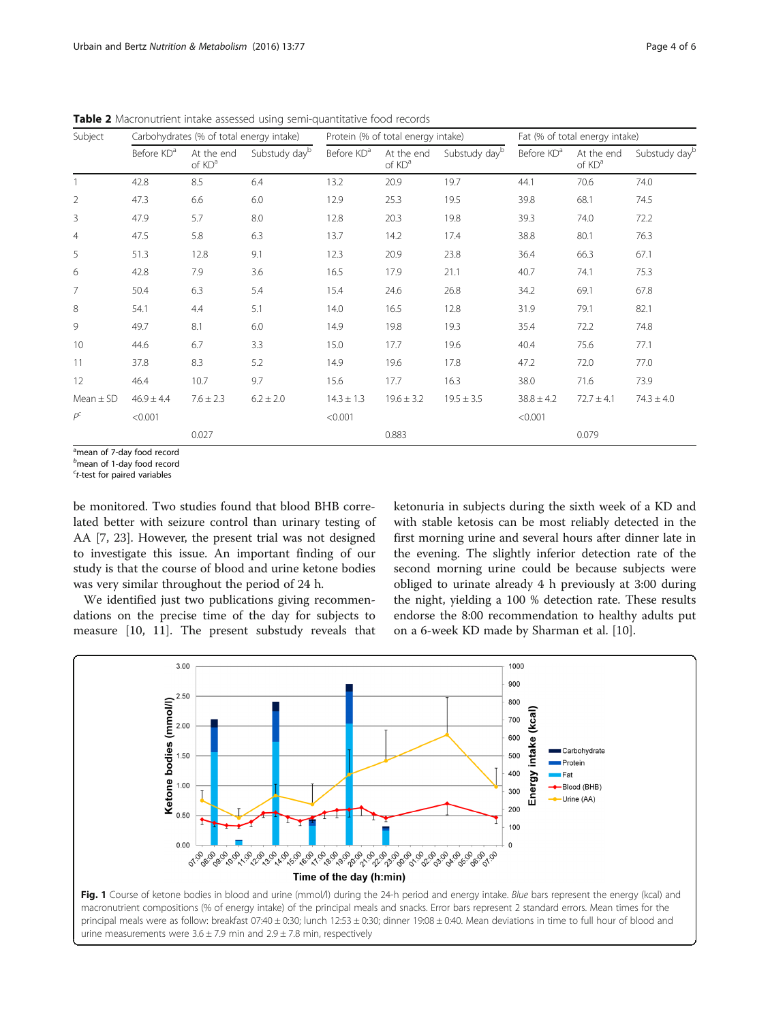| Subject        | Carbohydrates (% of total energy intake) |                                  |                           | Protein (% of total energy intake) |                                  |                | Fat (% of total energy intake) |                                  |                |
|----------------|------------------------------------------|----------------------------------|---------------------------|------------------------------------|----------------------------------|----------------|--------------------------------|----------------------------------|----------------|
|                | Before KD <sup>a</sup>                   | At the end<br>of KD <sup>a</sup> | Substudy day <sup>b</sup> | Before KD <sup>a</sup>             | At the end<br>of KD <sup>a</sup> | Substudy dayb  | Before KD <sup>a</sup>         | At the end<br>of KD <sup>a</sup> | Substudy dayb  |
|                | 42.8                                     | 8.5                              | 6.4                       | 13.2                               | 20.9                             | 19.7           | 44.1                           | 70.6                             | 74.0           |
| $\overline{2}$ | 47.3                                     | 6.6                              | 6.0                       | 12.9                               | 25.3                             | 19.5           | 39.8                           | 68.1                             | 74.5           |
| 3              | 47.9                                     | 5.7                              | 8.0                       | 12.8                               | 20.3                             | 19.8           | 39.3                           | 74.0                             | 72.2           |
| 4              | 47.5                                     | 5.8                              | 6.3                       | 13.7                               | 14.2                             | 17.4           | 38.8                           | 80.1                             | 76.3           |
| 5              | 51.3                                     | 12.8                             | 9.1                       | 12.3                               | 20.9                             | 23.8           | 36.4                           | 66.3                             | 67.1           |
| 6              | 42.8                                     | 7.9                              | 3.6                       | 16.5                               | 17.9                             | 21.1           | 40.7                           | 74.1                             | 75.3           |
| $\overline{7}$ | 50.4                                     | 6.3                              | 5.4                       | 15.4                               | 24.6                             | 26.8           | 34.2                           | 69.1                             | 67.8           |
| 8              | 54.1                                     | 4.4                              | 5.1                       | 14.0                               | 16.5                             | 12.8           | 31.9                           | 79.1                             | 82.1           |
| 9              | 49.7                                     | 8.1                              | 6.0                       | 14.9                               | 19.8                             | 19.3           | 35.4                           | 72.2                             | 74.8           |
| 10             | 44.6                                     | 6.7                              | 3.3                       | 15.0                               | 17.7                             | 19.6           | 40.4                           | 75.6                             | 77.1           |
| 11             | 37.8                                     | 8.3                              | 5.2                       | 14.9                               | 19.6                             | 17.8           | 47.2                           | 72.0                             | 77.0           |
| 12             | 46.4                                     | 10.7                             | 9.7                       | 15.6                               | 17.7                             | 16.3           | 38.0                           | 71.6                             | 73.9           |
| $Mean \pm SD$  | $46.9 \pm 4.4$                           | $7.6 \pm 2.3$                    | $6.2 \pm 2.0$             | $14.3 \pm 1.3$                     | $19.6 \pm 3.2$                   | $19.5 \pm 3.5$ | $38.8 \pm 4.2$                 | $72.7 \pm 4.1$                   | $74.3 \pm 4.0$ |
| $P^{c}$        | < 0.001                                  |                                  |                           | < 0.001                            |                                  |                | < 0.001                        |                                  |                |
|                |                                          | 0.027                            |                           |                                    | 0.883                            |                |                                | 0.079                            |                |

<span id="page-3-0"></span>Table 2 Macronutrient intake assessed using semi-quantitative food records

<sup>a</sup>mean of 7-day food record

<sup>b</sup>mean of 1-day food record

<sup>c</sup>t-test for paired variables

be monitored. Two studies found that blood BHB correlated better with seizure control than urinary testing of AA [\[7](#page-5-0), [23\]](#page-5-0). However, the present trial was not designed to investigate this issue. An important finding of our study is that the course of blood and urine ketone bodies was very similar throughout the period of 24 h.

We identified just two publications giving recommendations on the precise time of the day for subjects to measure [\[10](#page-5-0), [11](#page-5-0)]. The present substudy reveals that ketonuria in subjects during the sixth week of a KD and with stable ketosis can be most reliably detected in the first morning urine and several hours after dinner late in the evening. The slightly inferior detection rate of the second morning urine could be because subjects were obliged to urinate already 4 h previously at 3:00 during the night, yielding a 100 % detection rate. These results endorse the 8:00 recommendation to healthy adults put on a 6-week KD made by Sharman et al. [[10\]](#page-5-0).

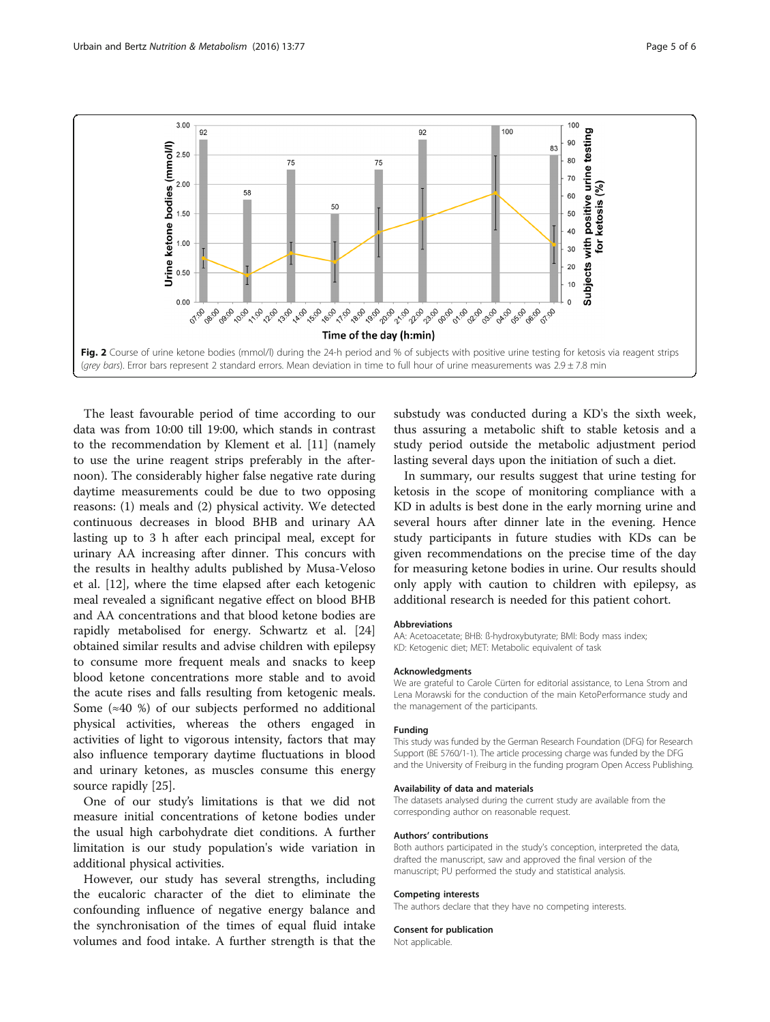<span id="page-4-0"></span>

The least favourable period of time according to our data was from 10:00 till 19:00, which stands in contrast to the recommendation by Klement et al. [[11\]](#page-5-0) (namely to use the urine reagent strips preferably in the afternoon). The considerably higher false negative rate during daytime measurements could be due to two opposing reasons: (1) meals and (2) physical activity. We detected continuous decreases in blood BHB and urinary AA lasting up to 3 h after each principal meal, except for urinary AA increasing after dinner. This concurs with the results in healthy adults published by Musa-Veloso et al. [[12\]](#page-5-0), where the time elapsed after each ketogenic meal revealed a significant negative effect on blood BHB and AA concentrations and that blood ketone bodies are rapidly metabolised for energy. Schwartz et al. [[24](#page-5-0)] obtained similar results and advise children with epilepsy to consume more frequent meals and snacks to keep blood ketone concentrations more stable and to avoid the acute rises and falls resulting from ketogenic meals. Some  $(\approx 40 \%)$  of our subjects performed no additional physical activities, whereas the others engaged in activities of light to vigorous intensity, factors that may also influence temporary daytime fluctuations in blood and urinary ketones, as muscles consume this energy source rapidly [\[25](#page-5-0)].

One of our study's limitations is that we did not measure initial concentrations of ketone bodies under the usual high carbohydrate diet conditions. A further limitation is our study population's wide variation in additional physical activities.

However, our study has several strengths, including the eucaloric character of the diet to eliminate the confounding influence of negative energy balance and the synchronisation of the times of equal fluid intake volumes and food intake. A further strength is that the

substudy was conducted during a KD's the sixth week, thus assuring a metabolic shift to stable ketosis and a study period outside the metabolic adjustment period lasting several days upon the initiation of such a diet.

In summary, our results suggest that urine testing for ketosis in the scope of monitoring compliance with a KD in adults is best done in the early morning urine and several hours after dinner late in the evening. Hence study participants in future studies with KDs can be given recommendations on the precise time of the day for measuring ketone bodies in urine. Our results should only apply with caution to children with epilepsy, as additional research is needed for this patient cohort.

#### Abbreviations

AA: Acetoacetate; BHB: ß-hydroxybutyrate; BMI: Body mass index; KD: Ketogenic diet; MET: Metabolic equivalent of task

#### Acknowledgments

We are grateful to Carole Cürten for editorial assistance, to Lena Strom and Lena Morawski for the conduction of the main KetoPerformance study and the management of the participants.

#### Funding

This study was funded by the German Research Foundation (DFG) for Research Support (BE 5760/1-1). The article processing charge was funded by the DFG and the University of Freiburg in the funding program Open Access Publishing.

#### Availability of data and materials

The datasets analysed during the current study are available from the corresponding author on reasonable request.

#### Authors' contributions

Both authors participated in the study's conception, interpreted the data, drafted the manuscript, saw and approved the final version of the manuscript; PU performed the study and statistical analysis.

#### Competing interests

The authors declare that they have no competing interests.

#### Consent for publication

Not applicable.